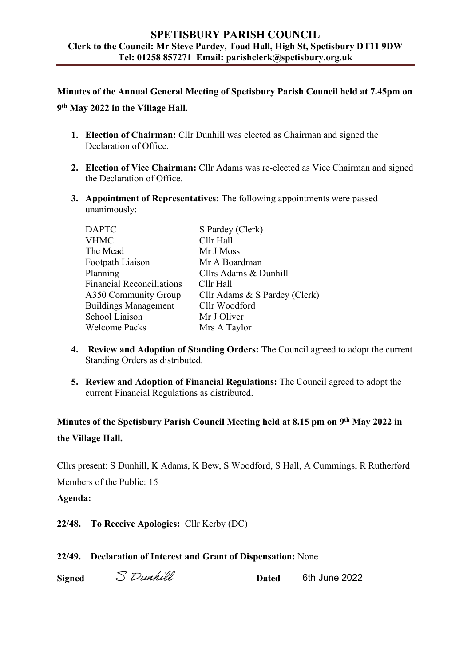### **SPETISBURY PARISH COUNCIL Clerk to the Council: Mr Steve Pardey, Toad Hall, High St, Spetisbury DT11 9DW Tel: 01258 857271 Email: parishclerk@spetisbury.org.uk**

**Minutes of the Annual General Meeting of Spetisbury Parish Council held at 7.45pm on 9th May 2022 in the Village Hall.** 

- **1. Election of Chairman:** Cllr Dunhill was elected as Chairman and signed the Declaration of Office.
- **2. Election of Vice Chairman:** Cllr Adams was re-elected as Vice Chairman and signed the Declaration of Office.
- **3. Appointment of Representatives:** The following appointments were passed unanimously:

| S Pardey (Clerk)              |
|-------------------------------|
|                               |
| Cllr Hall                     |
| Mr J Moss                     |
| Mr A Boardman                 |
| Cllrs Adams & Dunhill         |
| Cllr Hall                     |
| Cllr Adams & S Pardey (Clerk) |
| Cllr Woodford                 |
| Mr J Oliver                   |
| Mrs A Taylor                  |
|                               |

- **4. Review and Adoption of Standing Orders:** The Council agreed to adopt the current Standing Orders as distributed.
- **5. Review and Adoption of Financial Regulations:** The Council agreed to adopt the current Financial Regulations as distributed.

**Minutes of the Spetisbury Parish Council Meeting held at 8.15 pm on 9th May 2022 in the Village Hall.**

Cllrs present: S Dunhill, K Adams, K Bew, S Woodford, S Hall, A Cummings, R Rutherford Members of the Public: 15

**Agenda:** 

**22/48. To Receive Apologies:** Cllr Kerby (DC)

**22/49. Declaration of Interest and Grant of Dispensation:** None

**Signed** S Dunhill **S** Dunhill **Dated** 6th June 2022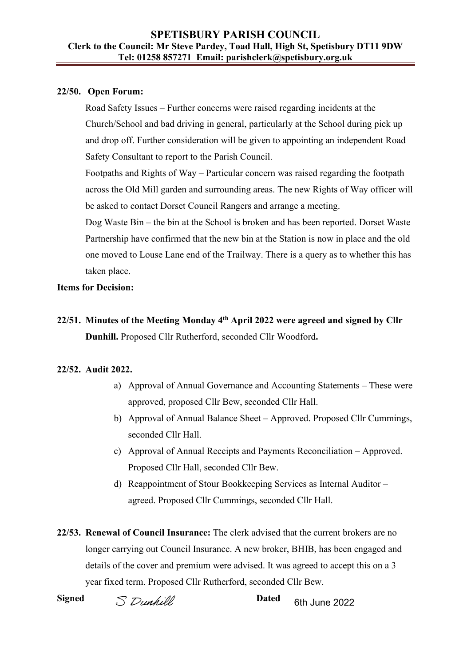## **22/50. Open Forum:**

 Road Safety Issues – Further concerns were raised regarding incidents at the Church/School and bad driving in general, particularly at the School during pick up and drop off. Further consideration will be given to appointing an independent Road Safety Consultant to report to the Parish Council.

 Footpaths and Rights of Way – Particular concern was raised regarding the footpath across the Old Mill garden and surrounding areas. The new Rights of Way officer will be asked to contact Dorset Council Rangers and arrange a meeting.

 Dog Waste Bin – the bin at the School is broken and has been reported. Dorset Waste Partnership have confirmed that the new bin at the Station is now in place and the old one moved to Louse Lane end of the Trailway. There is a query as to whether this has taken place.

## **Items for Decision:**

**22/51. Minutes of the Meeting Monday 4th April 2022 were agreed and signed by Cllr Dunhill.** Proposed Cllr Rutherford, seconded Cllr Woodford**.** 

# **22/52. Audit 2022.**

- a) Approval of Annual Governance and Accounting Statements These were approved, proposed Cllr Bew, seconded Cllr Hall.
- b) Approval of Annual Balance Sheet Approved. Proposed Cllr Cummings, seconded Cllr Hall.
- c) Approval of Annual Receipts and Payments Reconciliation Approved. Proposed Cllr Hall, seconded Cllr Bew.
- d) Reappointment of Stour Bookkeeping Services as Internal Auditor agreed. Proposed Cllr Cummings, seconded Cllr Hall.

**22/53. Renewal of Council Insurance:** The clerk advised that the current brokers are no longer carrying out Council Insurance. A new broker, BHIB, has been engaged and details of the cover and premium were advised. It was agreed to accept this on a 3 year fixed term. Proposed Cllr Rutherford, seconded Cllr Bew.

**Signed**  $\sum$  *Dunhill* **Dated** 6th June 2022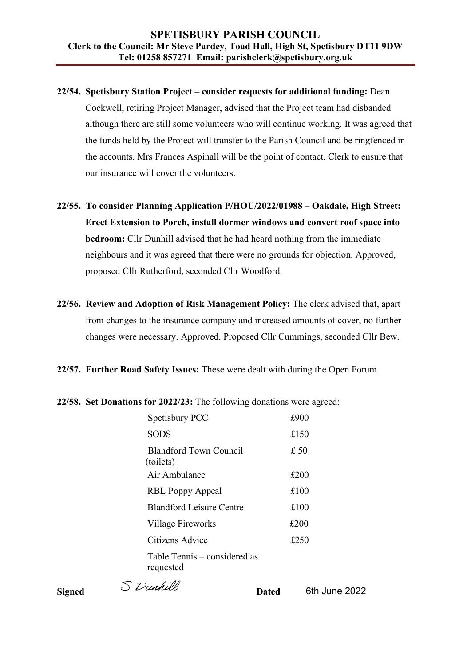- **22/54. Spetisbury Station Project consider requests for additional funding:** Dean Cockwell, retiring Project Manager, advised that the Project team had disbanded although there are still some volunteers who will continue working. It was agreed that the funds held by the Project will transfer to the Parish Council and be ringfenced in the accounts. Mrs Frances Aspinall will be the point of contact. Clerk to ensure that our insurance will cover the volunteers.
- **22/55. To consider Planning Application P/HOU/2022/01988 Oakdale, High Street: Erect Extension to Porch, install dormer windows and convert roof space into bedroom:** Cllr Dunhill advised that he had heard nothing from the immediate neighbours and it was agreed that there were no grounds for objection. Approved, proposed Cllr Rutherford, seconded Cllr Woodford.
- **22/56. Review and Adoption of Risk Management Policy:** The clerk advised that, apart from changes to the insurance company and increased amounts of cover, no further changes were necessary. Approved. Proposed Cllr Cummings, seconded Cllr Bew.
- **22/57. Further Road Safety Issues:** These were dealt with during the Open Forum.

#### **22/58. Set Donations for 2022/23:** The following donations were agreed:

| Spetisbury PCC                             | £900 |
|--------------------------------------------|------|
| <b>SODS</b>                                | £150 |
| <b>Blandford Town Council</b><br>(toilets) | £50  |
| Air Ambulance                              | £200 |
| <b>RBL Poppy Appeal</b>                    | £100 |
| <b>Blandford Leisure Centre</b>            | £100 |
| Village Fireworks                          | £200 |
| Citizens Advice                            | £250 |
| Table Tennis – considered as<br>requested  |      |

**Signed** S Dunhill **S** Dunhill **Dated** 6th June 2022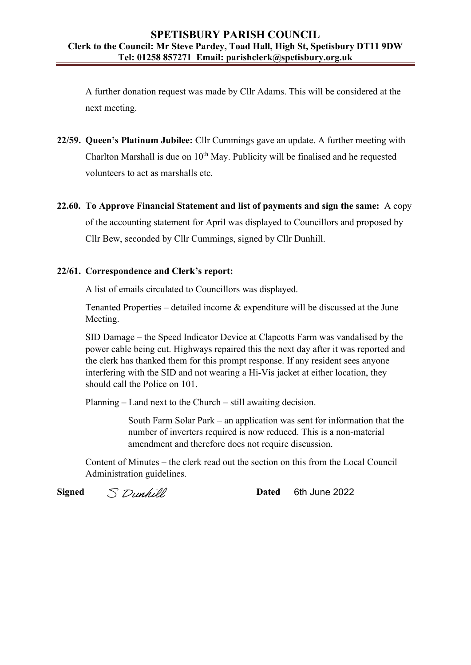A further donation request was made by Cllr Adams. This will be considered at the next meeting.

- **22/59. Queen's Platinum Jubilee:** Cllr Cummings gave an update. A further meeting with Charlton Marshall is due on  $10<sup>th</sup>$  May. Publicity will be finalised and he requested volunteers to act as marshalls etc.
- **22.60. To Approve Financial Statement and list of payments and sign the same:** A copy of the accounting statement for April was displayed to Councillors and proposed by Cllr Bew, seconded by Cllr Cummings, signed by Cllr Dunhill.

## **22/61. Correspondence and Clerk's report:**

A list of emails circulated to Councillors was displayed.

 Tenanted Properties – detailed income & expenditure will be discussed at the June Meeting.

SID Damage – the Speed Indicator Device at Clapcotts Farm was vandalised by the power cable being cut. Highways repaired this the next day after it was reported and the clerk has thanked them for this prompt response. If any resident sees anyone interfering with the SID and not wearing a Hi-Vis jacket at either location, they should call the Police on 101.

Planning – Land next to the Church – still awaiting decision.

South Farm Solar Park – an application was sent for information that the number of inverters required is now reduced. This is a non-material amendment and therefore does not require discussion.

Content of Minutes – the clerk read out the section on this from the Local Council Administration guidelines.

**Signed**  $\lesssim$  *Dunhill* **Dated** 6th June 2022